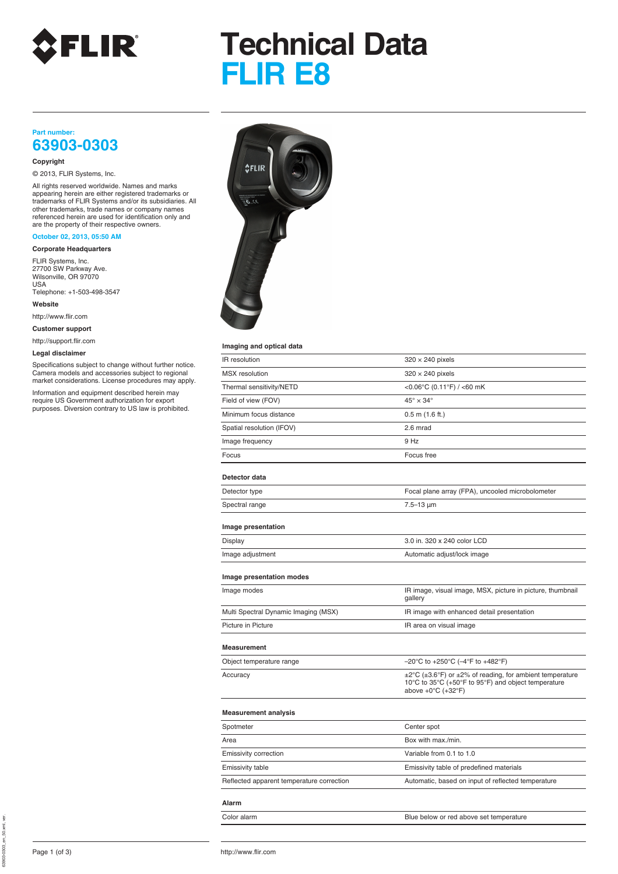

# **Technical Data FLIR E8**

## **Part number: 63903-0303**

### **Copyright**

© 2013, FLIR Systems, Inc.

All rights reserved worldwide. Names and marks appearing herein are either registered trademarks or trademarks of FLIR Systems and/or its subsidiaries. All other trademarks, trade names or company names referenced herein are used for identification only and are the property of their respective owners.

## **October 02, 2013, 05:50 AM**

**Corporate Headquarters**

FLIR Systems, Inc. 27700 SW Parkway Ave. Wilsonville, OR 97070 USA Telephone: +1-503-498-3547

**Website**

http://www.flir.com

**Customer support**

http://support.flir.com

## **Legal disclaimer**



### **Imaging and optical data**

| Legal disclaimer<br>Specifications subject to change without further notice.<br>Camera models and accessories subject to regional<br>market considerations. License procedures may apply.<br>Information and equipment described herein may | magnig unu upuvui uutu                    |                                                                                                                                                                               |
|---------------------------------------------------------------------------------------------------------------------------------------------------------------------------------------------------------------------------------------------|-------------------------------------------|-------------------------------------------------------------------------------------------------------------------------------------------------------------------------------|
|                                                                                                                                                                                                                                             | IR resolution                             | $320 \times 240$ pixels                                                                                                                                                       |
|                                                                                                                                                                                                                                             | <b>MSX</b> resolution                     | $320 \times 240$ pixels                                                                                                                                                       |
|                                                                                                                                                                                                                                             | Thermal sensitivity/NETD                  | <0.06°C (0.11°F) / <60 mK                                                                                                                                                     |
| require US Government authorization for export<br>purposes. Diversion contrary to US law is prohibited.                                                                                                                                     | Field of view (FOV)                       | $45^\circ \times 34^\circ$                                                                                                                                                    |
|                                                                                                                                                                                                                                             | Minimum focus distance                    | $0.5$ m $(1.6$ ft.)                                                                                                                                                           |
|                                                                                                                                                                                                                                             | Spatial resolution (IFOV)                 | 2.6 mrad                                                                                                                                                                      |
|                                                                                                                                                                                                                                             | Image frequency                           | 9 Hz                                                                                                                                                                          |
|                                                                                                                                                                                                                                             | Focus                                     | Focus free                                                                                                                                                                    |
|                                                                                                                                                                                                                                             | Detector data                             |                                                                                                                                                                               |
|                                                                                                                                                                                                                                             | Detector type                             | Focal plane array (FPA), uncooled microbolometer                                                                                                                              |
|                                                                                                                                                                                                                                             | Spectral range                            | $7.5 - 13 \mu m$                                                                                                                                                              |
|                                                                                                                                                                                                                                             | Image presentation                        |                                                                                                                                                                               |
|                                                                                                                                                                                                                                             | Display                                   | 3.0 in. 320 x 240 color LCD                                                                                                                                                   |
|                                                                                                                                                                                                                                             | Image adjustment                          | Automatic adjust/lock image                                                                                                                                                   |
|                                                                                                                                                                                                                                             | Image presentation modes                  |                                                                                                                                                                               |
|                                                                                                                                                                                                                                             | Image modes                               | IR image, visual image, MSX, picture in picture, thumbnail<br>gallery                                                                                                         |
|                                                                                                                                                                                                                                             | Multi Spectral Dynamic Imaging (MSX)      | IR image with enhanced detail presentation                                                                                                                                    |
|                                                                                                                                                                                                                                             | Picture in Picture                        | IR area on visual image                                                                                                                                                       |
|                                                                                                                                                                                                                                             | Measurement                               |                                                                                                                                                                               |
|                                                                                                                                                                                                                                             | Object temperature range                  | $-20^{\circ}$ C to +250 $^{\circ}$ C (-4 $^{\circ}$ F to +482 $^{\circ}$ F)                                                                                                   |
|                                                                                                                                                                                                                                             | Accuracy                                  | $\pm 2^{\circ}$ C ( $\pm 3.6^{\circ}$ F) or $\pm 2\%$ of reading, for ambient temperature<br>10°C to 35°C (+50°F to 95°F) and object temperature<br>above $+0$ °C ( $+32$ °F) |
|                                                                                                                                                                                                                                             | <b>Measurement analysis</b>               |                                                                                                                                                                               |
|                                                                                                                                                                                                                                             | Spotmeter                                 | Center spot                                                                                                                                                                   |
|                                                                                                                                                                                                                                             | Area                                      | Box with max./min.                                                                                                                                                            |
|                                                                                                                                                                                                                                             | Emissivity correction                     | Variable from 0.1 to 1.0                                                                                                                                                      |
|                                                                                                                                                                                                                                             | Emissivity table                          | Emissivity table of predefined materials                                                                                                                                      |
|                                                                                                                                                                                                                                             | Reflected apparent temperature correction | Automatic, based on input of reflected temperature                                                                                                                            |
|                                                                                                                                                                                                                                             | Alarm                                     |                                                                                                                                                                               |
|                                                                                                                                                                                                                                             | Color alarm                               | Blue below or red above set temperature                                                                                                                                       |

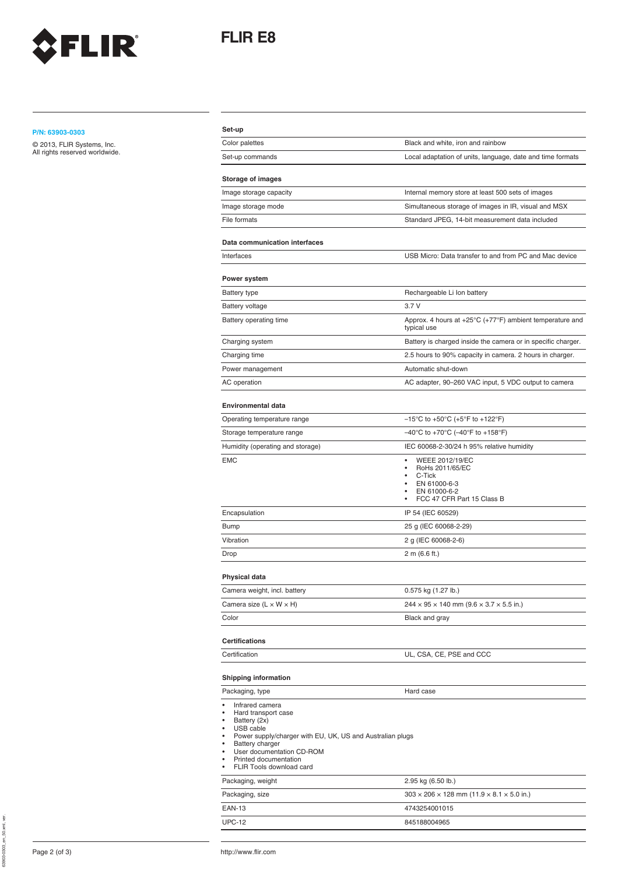

## **FLIR E8**

## **Set-up P/N: 63903-0303**

| P/N: 63903-0303                | Set-up                                                                                                                                                                                                                                                                              |                                                                                         |
|--------------------------------|-------------------------------------------------------------------------------------------------------------------------------------------------------------------------------------------------------------------------------------------------------------------------------------|-----------------------------------------------------------------------------------------|
| © 2013, FLIR Systems, Inc.     | Color palettes                                                                                                                                                                                                                                                                      | Black and white, iron and rainbow                                                       |
| All rights reserved worldwide. | Set-up commands                                                                                                                                                                                                                                                                     | Local adaptation of units, language, date and time formats                              |
|                                | <b>Storage of images</b>                                                                                                                                                                                                                                                            |                                                                                         |
|                                | Image storage capacity                                                                                                                                                                                                                                                              | Internal memory store at least 500 sets of images                                       |
|                                | Image storage mode                                                                                                                                                                                                                                                                  | Simultaneous storage of images in IR, visual and MSX                                    |
|                                | File formats                                                                                                                                                                                                                                                                        | Standard JPEG, 14-bit measurement data included                                         |
|                                | Data communication interfaces                                                                                                                                                                                                                                                       |                                                                                         |
|                                | Interfaces                                                                                                                                                                                                                                                                          | USB Micro: Data transfer to and from PC and Mac device                                  |
|                                | Power system                                                                                                                                                                                                                                                                        |                                                                                         |
|                                | <b>Battery type</b>                                                                                                                                                                                                                                                                 | Rechargeable Li Ion battery                                                             |
|                                | <b>Battery voltage</b>                                                                                                                                                                                                                                                              | 3.7V                                                                                    |
|                                | Battery operating time                                                                                                                                                                                                                                                              | Approx. 4 hours at +25°C (+77°F) ambient temperature and<br>typical use                 |
|                                | Charging system                                                                                                                                                                                                                                                                     | Battery is charged inside the camera or in specific charger.                            |
|                                | Charging time                                                                                                                                                                                                                                                                       | 2.5 hours to 90% capacity in camera. 2 hours in charger.                                |
|                                | Power management                                                                                                                                                                                                                                                                    | Automatic shut-down                                                                     |
|                                | AC operation                                                                                                                                                                                                                                                                        | AC adapter, 90-260 VAC input, 5 VDC output to camera                                    |
|                                | <b>Environmental data</b>                                                                                                                                                                                                                                                           |                                                                                         |
|                                | Operating temperature range                                                                                                                                                                                                                                                         | $-15^{\circ}$ C to +50 $^{\circ}$ C (+5 $^{\circ}$ F to +122 $^{\circ}$ F)              |
|                                | Storage temperature range                                                                                                                                                                                                                                                           | $-40^{\circ}$ C to +70 $^{\circ}$ C ( $-40^{\circ}$ F to +158 $^{\circ}$ F)             |
|                                | Humidity (operating and storage)                                                                                                                                                                                                                                                    | IEC 60068-2-30/24 h 95% relative humidity                                               |
|                                | <b>EMC</b>                                                                                                                                                                                                                                                                          | WEEE 2012/19/EC<br>٠                                                                    |
|                                |                                                                                                                                                                                                                                                                                     | RoHs 2011/65/EC<br>C-Tick<br>EN 61000-6-3<br>EN 61000-6-2<br>FCC 47 CFR Part 15 Class B |
|                                | Encapsulation                                                                                                                                                                                                                                                                       | IP 54 (IEC 60529)                                                                       |
|                                | <b>Bump</b>                                                                                                                                                                                                                                                                         | 25 g (IEC 60068-2-29)                                                                   |
|                                | Vibration                                                                                                                                                                                                                                                                           | 2 g (IEC 60068-2-6)                                                                     |
|                                | Drop                                                                                                                                                                                                                                                                                | 2 m (6.6 ft.)                                                                           |
|                                | Physical data                                                                                                                                                                                                                                                                       |                                                                                         |
|                                | Camera weight, incl. battery                                                                                                                                                                                                                                                        | 0.575 kg (1.27 lb.)                                                                     |
|                                | Camera size $(L \times W \times H)$                                                                                                                                                                                                                                                 | $244 \times 95 \times 140$ mm $(9.6 \times 3.7 \times 5.5$ in.)                         |
|                                | Color                                                                                                                                                                                                                                                                               | Black and gray                                                                          |
|                                | <b>Certifications</b>                                                                                                                                                                                                                                                               |                                                                                         |
|                                | Certification                                                                                                                                                                                                                                                                       | UL, CSA, CE, PSE and CCC                                                                |
|                                |                                                                                                                                                                                                                                                                                     |                                                                                         |
|                                | <b>Shipping information</b>                                                                                                                                                                                                                                                         |                                                                                         |
|                                | Packaging, type                                                                                                                                                                                                                                                                     | Hard case                                                                               |
|                                | Infrared camera<br>Hard transport case<br>٠<br>Battery (2x)<br>$\bullet$<br>• USB cable<br>Power supply/charger with EU, UK, US and Australian plugs<br>Battery charger<br>$\bullet$<br>User documentation CD-ROM<br>$\bullet$<br>Printed documentation<br>FLIR Tools download card |                                                                                         |
|                                | Packaging, weight                                                                                                                                                                                                                                                                   | 2.95 kg (6.50 lb.)                                                                      |
|                                | Packaging, size                                                                                                                                                                                                                                                                     | $303 \times 206 \times 128$ mm $(11.9 \times 8.1 \times 5.0$ in.)                       |
|                                | <b>EAN-13</b>                                                                                                                                                                                                                                                                       | 4743254001015                                                                           |

UPC-12 845188004965